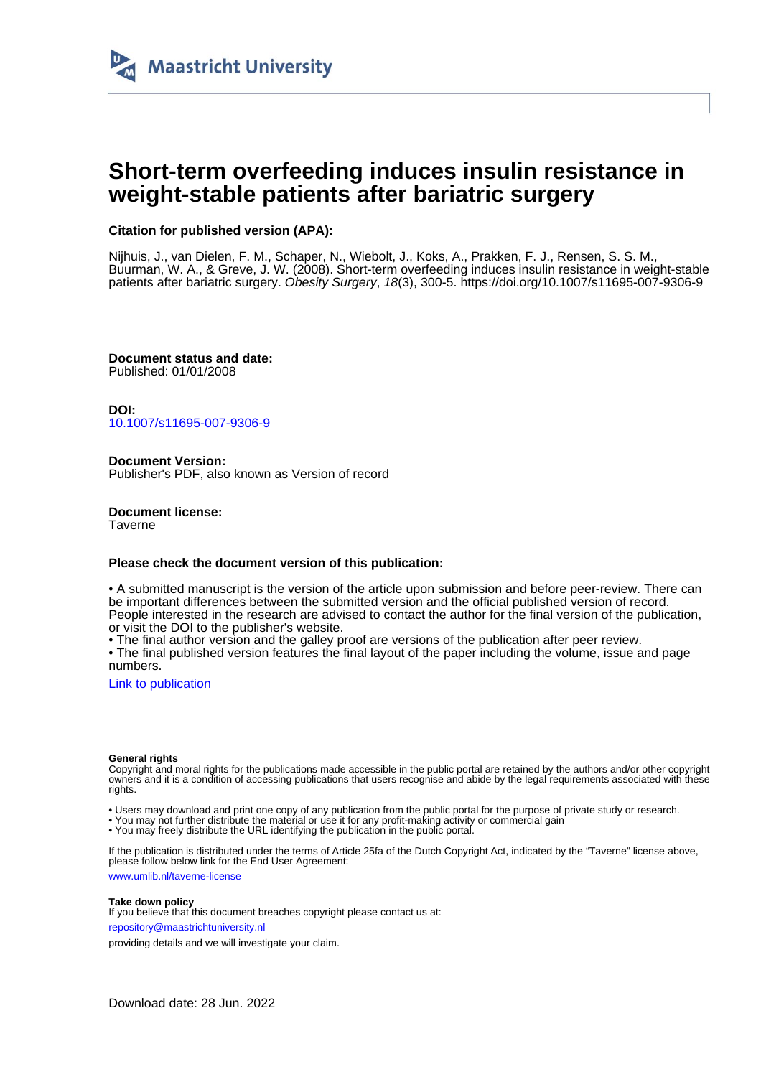

# **Short-term overfeeding induces insulin resistance in weight-stable patients after bariatric surgery**

## **Citation for published version (APA):**

Nijhuis, J., van Dielen, F. M., Schaper, N., Wiebolt, J., Koks, A., Prakken, F. J., Rensen, S. S. M., Buurman, W. A., & Greve, J. W. (2008). Short-term overfeeding induces insulin resistance in weight-stable patients after bariatric surgery. Obesity Surgery, 18(3), 300-5.<https://doi.org/10.1007/s11695-007-9306-9>

**Document status and date:** Published: 01/01/2008

**DOI:** [10.1007/s11695-007-9306-9](https://doi.org/10.1007/s11695-007-9306-9)

**Document Version:** Publisher's PDF, also known as Version of record

**Document license: Taverne** 

## **Please check the document version of this publication:**

• A submitted manuscript is the version of the article upon submission and before peer-review. There can be important differences between the submitted version and the official published version of record. People interested in the research are advised to contact the author for the final version of the publication, or visit the DOI to the publisher's website.

• The final author version and the galley proof are versions of the publication after peer review.

• The final published version features the final layout of the paper including the volume, issue and page numbers.

[Link to publication](https://cris.maastrichtuniversity.nl/en/publications/a8d7bb13-f3ba-41f6-aec2-8803fc3fac47)

#### **General rights**

Copyright and moral rights for the publications made accessible in the public portal are retained by the authors and/or other copyright owners and it is a condition of accessing publications that users recognise and abide by the legal requirements associated with these rights.

• Users may download and print one copy of any publication from the public portal for the purpose of private study or research.

• You may not further distribute the material or use it for any profit-making activity or commercial gain

• You may freely distribute the URL identifying the publication in the public portal.

If the publication is distributed under the terms of Article 25fa of the Dutch Copyright Act, indicated by the "Taverne" license above, please follow below link for the End User Agreement:

www.umlib.nl/taverne-license

### **Take down policy**

If you believe that this document breaches copyright please contact us at: repository@maastrichtuniversity.nl

providing details and we will investigate your claim.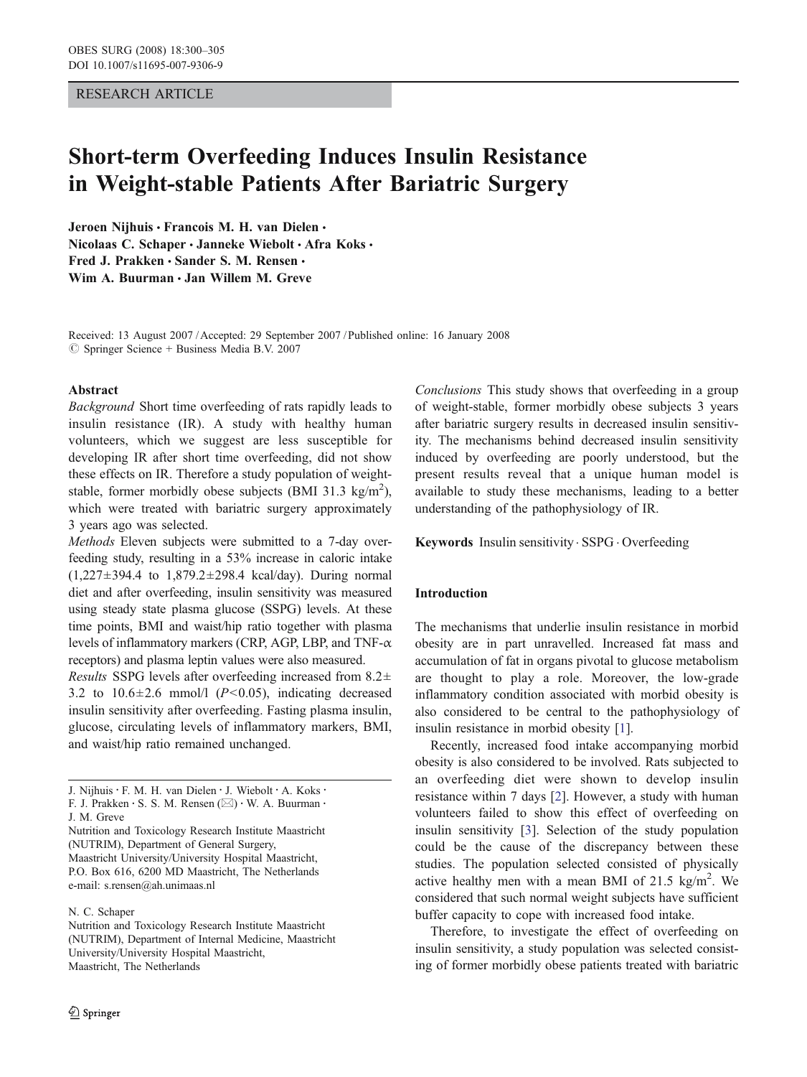## RESEARCH ARTICLE

# Short-term Overfeeding Induces Insulin Resistance in Weight-stable Patients After Bariatric Surgery

Jeroen Nijhuis · Francois M. H. van Dielen · Nicolaas C. Schaper · Janneke Wiebolt · Afra Koks · Fred J. Prakken · Sander S. M. Rensen · Wim A. Buurman  $\cdot$  Jan Willem M. Greve

Received: 13 August 2007 /Accepted: 29 September 2007 / Published online: 16 January 2008  $\circledcirc$  Springer Science + Business Media B.V. 2007

### Abstract

Background Short time overfeeding of rats rapidly leads to insulin resistance (IR). A study with healthy human volunteers, which we suggest are less susceptible for developing IR after short time overfeeding, did not show these effects on IR. Therefore a study population of weightstable, former morbidly obese subjects (BMI 31.3 kg/m<sup>2</sup>), which were treated with bariatric surgery approximately 3 years ago was selected.

Methods Eleven subjects were submitted to a 7-day overfeeding study, resulting in a 53% increase in caloric intake (1,227±394.4 to 1,879.2±298.4 kcal/day). During normal diet and after overfeeding, insulin sensitivity was measured using steady state plasma glucose (SSPG) levels. At these time points, BMI and waist/hip ratio together with plasma levels of inflammatory markers (CRP, AGP, LBP, and TNF-α receptors) and plasma leptin values were also measured.

Results SSPG levels after overfeeding increased from  $8.2\pm$ 3.2 to  $10.6 \pm 2.6$  mmol/l ( $P < 0.05$ ), indicating decreased insulin sensitivity after overfeeding. Fasting plasma insulin, glucose, circulating levels of inflammatory markers, BMI, and waist/hip ratio remained unchanged.

## N. C. Schaper

Conclusions This study shows that overfeeding in a group of weight-stable, former morbidly obese subjects 3 years after bariatric surgery results in decreased insulin sensitivity. The mechanisms behind decreased insulin sensitivity induced by overfeeding are poorly understood, but the present results reveal that a unique human model is available to study these mechanisms, leading to a better understanding of the pathophysiology of IR.

## Keywords Insulin sensitivity . SSPG . Overfeeding

## Introduction

The mechanisms that underlie insulin resistance in morbid obesity are in part unravelled. Increased fat mass and accumulation of fat in organs pivotal to glucose metabolism are thought to play a role. Moreover, the low-grade inflammatory condition associated with morbid obesity is also considered to be central to the pathophysiology of insulin resistance in morbid obesity [[1\]](#page-5-0).

Recently, increased food intake accompanying morbid obesity is also considered to be involved. Rats subjected to an overfeeding diet were shown to develop insulin resistance within 7 days [\[2](#page-5-0)]. However, a study with human volunteers failed to show this effect of overfeeding on insulin sensitivity [\[3](#page-5-0)]. Selection of the study population could be the cause of the discrepancy between these studies. The population selected consisted of physically active healthy men with a mean BMI of 21.5  $\text{kg/m}^2$ . We considered that such normal weight subjects have sufficient buffer capacity to cope with increased food intake.

Therefore, to investigate the effect of overfeeding on insulin sensitivity, a study population was selected consisting of former morbidly obese patients treated with bariatric

J. Nijhuis: F. M. H. van Dielen : J. Wiebolt : A. Koks: F. J. Prakken  $\cdot$  S. S. M. Rensen ( $\boxtimes$ )  $\cdot$  W. A. Buurman  $\cdot$ 

J. M. Greve

Nutrition and Toxicology Research Institute Maastricht (NUTRIM), Department of General Surgery, Maastricht University/University Hospital Maastricht, P.O. Box 616, 6200 MD Maastricht, The Netherlands e-mail: s.rensen@ah.unimaas.nl

Nutrition and Toxicology Research Institute Maastricht (NUTRIM), Department of Internal Medicine, Maastricht University/University Hospital Maastricht, Maastricht, The Netherlands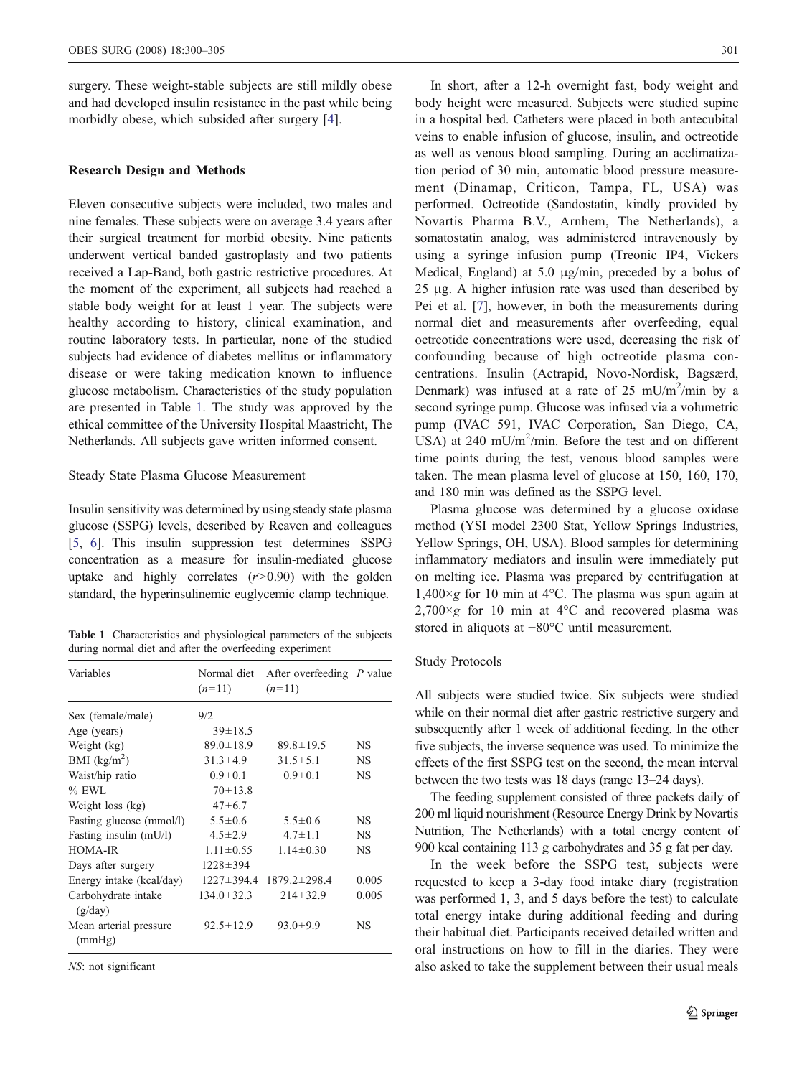<span id="page-2-0"></span>surgery. These weight-stable subjects are still mildly obese and had developed insulin resistance in the past while being morbidly obese, which subsided after surgery [\[4](#page-5-0)].

## Research Design and Methods

Eleven consecutive subjects were included, two males and nine females. These subjects were on average 3.4 years after their surgical treatment for morbid obesity. Nine patients underwent vertical banded gastroplasty and two patients received a Lap-Band, both gastric restrictive procedures. At the moment of the experiment, all subjects had reached a stable body weight for at least 1 year. The subjects were healthy according to history, clinical examination, and routine laboratory tests. In particular, none of the studied subjects had evidence of diabetes mellitus or inflammatory disease or were taking medication known to influence glucose metabolism. Characteristics of the study population are presented in Table 1. The study was approved by the ethical committee of the University Hospital Maastricht, The Netherlands. All subjects gave written informed consent.

#### Steady State Plasma Glucose Measurement

Insulin sensitivity was determined by using steady state plasma glucose (SSPG) levels, described by Reaven and colleagues [\[5](#page-5-0), [6](#page-5-0)]. This insulin suppression test determines SSPG concentration as a measure for insulin-mediated glucose uptake and highly correlates  $(r>0.90)$  with the golden standard, the hyperinsulinemic euglycemic clamp technique.

Table 1 Characteristics and physiological parameters of the subjects during normal diet and after the overfeeding experiment

| Variables                        | $(n=11)$         | Normal diet After overfeeding P value<br>$(n=11)$ |           |
|----------------------------------|------------------|---------------------------------------------------|-----------|
| Sex (female/male)                | 9/2              |                                                   |           |
| Age (years)                      | $39 \pm 18.5$    |                                                   |           |
| Weight (kg)                      | $89.0 \pm 18.9$  | $89.8 \pm 19.5$                                   | NS        |
| BMI $(kg/m2)$                    | $31.3 \pm 4.9$   | $31.5 \pm 5.1$                                    | <b>NS</b> |
| Waist/hip ratio                  | $0.9 \pm 0.1$    | $0.9 \pm 0.1$                                     | NS        |
| $%$ EWL                          | $70 \pm 13.8$    |                                                   |           |
| Weight loss (kg)                 | $47 \pm 6.7$     |                                                   |           |
| Fasting glucose (mmol/l)         | $5.5 \pm 0.6$    | $5.5 \pm 0.6$                                     | NS        |
| Fasting insulin (mU/l)           | $4.5 \pm 2.9$    | $4.7 \pm 1.1$                                     | NS        |
| HOMA-IR                          | $1.11 \pm 0.55$  | $1.14 \pm 0.30$                                   | NS        |
| Days after surgery               | $1228 \pm 394$   |                                                   |           |
| Energy intake (kcal/day)         |                  | $1227 \pm 394.4$ $1879.2 \pm 298.4$               | 0.005     |
| Carbohydrate intake<br>(g/day)   | $134.0 \pm 32.3$ | $214 \pm 32.9$                                    | 0.005     |
| Mean arterial pressure<br>(mmHg) | $92.5 \pm 12.9$  | $93.0 \pm 9.9$                                    | NS        |

NS: not significant

In short, after a 12-h overnight fast, body weight and body height were measured. Subjects were studied supine in a hospital bed. Catheters were placed in both antecubital veins to enable infusion of glucose, insulin, and octreotide as well as venous blood sampling. During an acclimatization period of 30 min, automatic blood pressure measurement (Dinamap, Criticon, Tampa, FL, USA) was performed. Octreotide (Sandostatin, kindly provided by Novartis Pharma B.V., Arnhem, The Netherlands), a somatostatin analog, was administered intravenously by using a syringe infusion pump (Treonic IP4, Vickers Medical, England) at 5.0 μg/min, preceded by a bolus of 25 μg. A higher infusion rate was used than described by Pei et al. [[7\]](#page-5-0), however, in both the measurements during normal diet and measurements after overfeeding, equal octreotide concentrations were used, decreasing the risk of confounding because of high octreotide plasma concentrations. Insulin (Actrapid, Novo-Nordisk, Bagsærd, Denmark) was infused at a rate of 25 mU/m<sup>2</sup>/min by a second syringe pump. Glucose was infused via a volumetric pump (IVAC 591, IVAC Corporation, San Diego, CA, USA) at 240 mU/m<sup>2</sup>/min. Before the test and on different time points during the test, venous blood samples were taken. The mean plasma level of glucose at 150, 160, 170, and 180 min was defined as the SSPG level.

Plasma glucose was determined by a glucose oxidase method (YSI model 2300 Stat, Yellow Springs Industries, Yellow Springs, OH, USA). Blood samples for determining inflammatory mediators and insulin were immediately put on melting ice. Plasma was prepared by centrifugation at  $1,400 \times g$  for 10 min at 4°C. The plasma was spun again at  $2,700 \times g$  for 10 min at 4 °C and recovered plasma was stored in aliquots at −80°C until measurement.

#### Study Protocols

All subjects were studied twice. Six subjects were studied while on their normal diet after gastric restrictive surgery and subsequently after 1 week of additional feeding. In the other five subjects, the inverse sequence was used. To minimize the effects of the first SSPG test on the second, the mean interval between the two tests was 18 days (range 13–24 days).

The feeding supplement consisted of three packets daily of 200 ml liquid nourishment (Resource Energy Drink by Novartis Nutrition, The Netherlands) with a total energy content of 900 kcal containing 113 g carbohydrates and 35 g fat per day.

In the week before the SSPG test, subjects were requested to keep a 3-day food intake diary (registration was performed 1, 3, and 5 days before the test) to calculate total energy intake during additional feeding and during their habitual diet. Participants received detailed written and oral instructions on how to fill in the diaries. They were also asked to take the supplement between their usual meals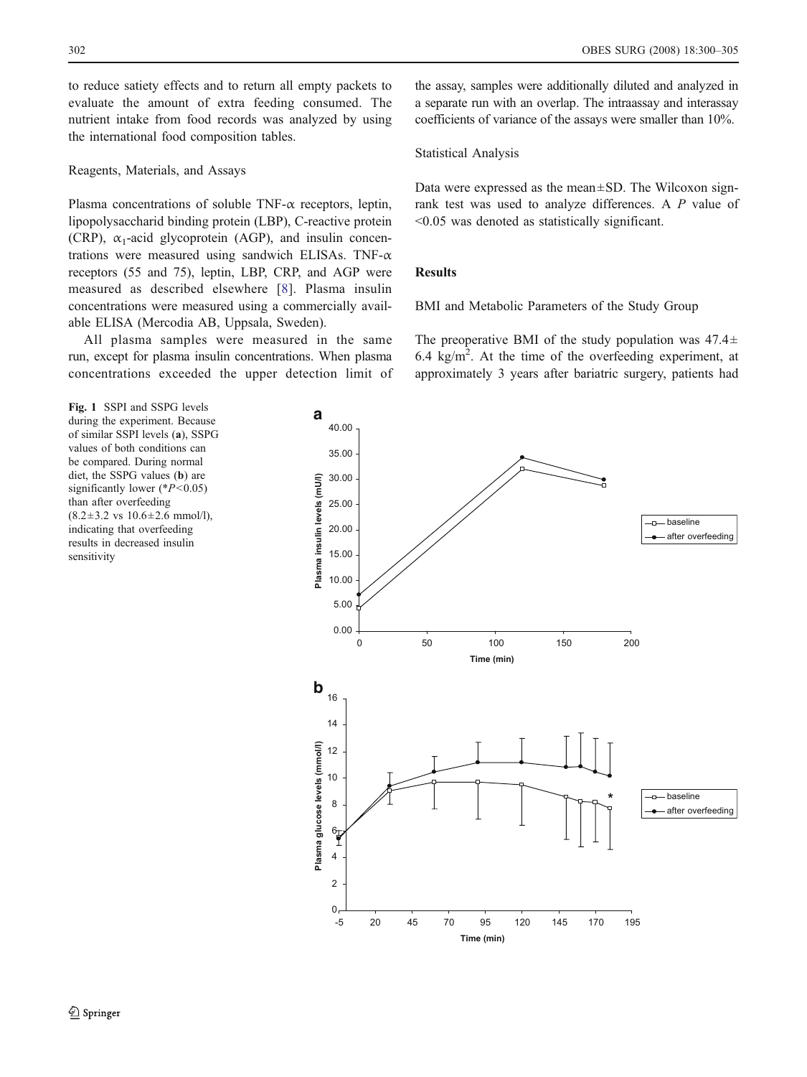<span id="page-3-0"></span>to reduce satiety effects and to return all empty packets to evaluate the amount of extra feeding consumed. The nutrient intake from food records was analyzed by using the international food composition tables.

#### Reagents, Materials, and Assays

Plasma concentrations of soluble TNF- $\alpha$  receptors, leptin, lipopolysaccharid binding protein (LBP), C-reactive protein (CRP),  $\alpha_1$ -acid glycoprotein (AGP), and insulin concentrations were measured using sandwich ELISAs. TNF- $\alpha$ receptors (55 and 75), leptin, LBP, CRP, and AGP were measured as described elsewhere [\[8](#page-5-0)]. Plasma insulin concentrations were measured using a commercially available ELISA (Mercodia AB, Uppsala, Sweden).

All plasma samples were measured in the same run, except for plasma insulin concentrations. When plasma concentrations exceeded the upper detection limit of

Fig. 1 SSPI and SSPG levels during the experiment. Because of similar SSPI levels (a), SSPG values of both conditions can be compared. During normal diet, the SSPG values (b) are significantly lower ( $P$  < 0.05) than after overfeeding  $(8.2 \pm 3.2 \text{ vs } 10.6 \pm 2.6 \text{ mmol/l})$ , indicating that overfeeding results in decreased insulin sensitivity

the assay, samples were additionally diluted and analyzed in a separate run with an overlap. The intraassay and interassay coefficients of variance of the assays were smaller than 10%.

Statistical Analysis

Data were expressed as the mean±SD. The Wilcoxon signrank test was used to analyze differences. A P value of <0.05 was denoted as statistically significant.

#### Results

BMI and Metabolic Parameters of the Study Group

The preoperative BMI of the study population was  $47.4\pm$ 6.4  $\text{kg/m}^2$ . At the time of the overfeeding experiment, at approximately 3 years after bariatric surgery, patients had

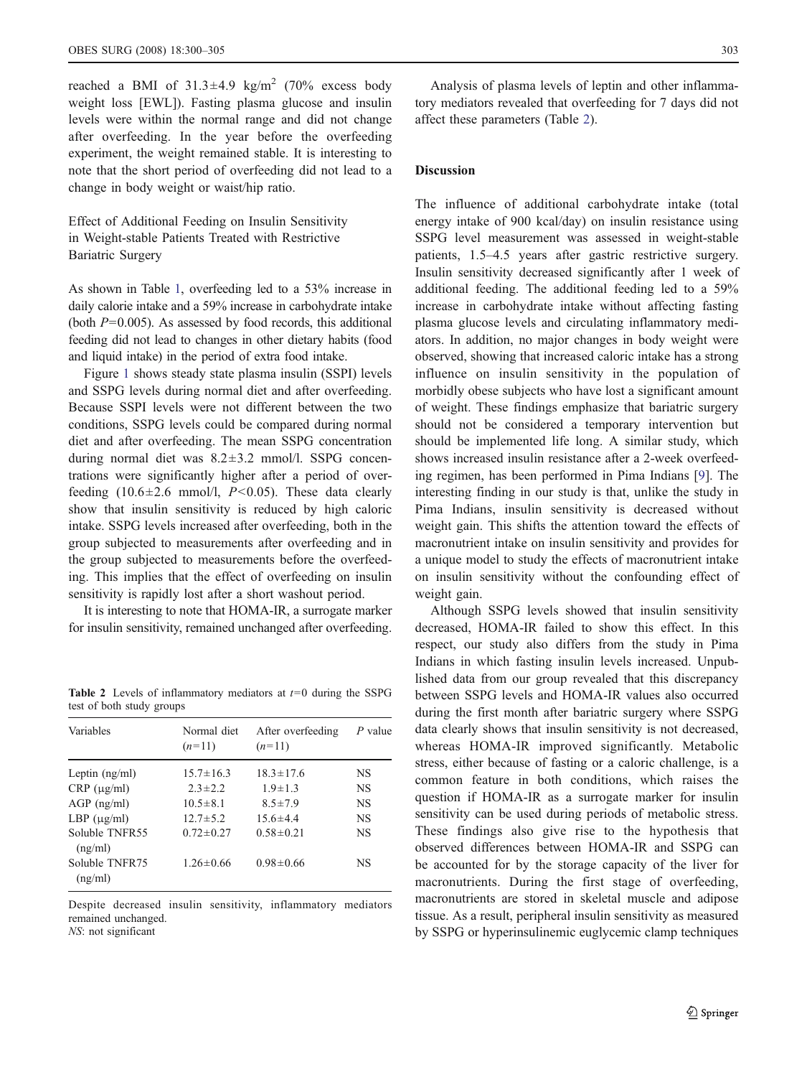reached a BMI of  $31.3 \pm 4.9$  kg/m<sup>2</sup> (70% excess body weight loss [EWL]). Fasting plasma glucose and insulin levels were within the normal range and did not change after overfeeding. In the year before the overfeeding experiment, the weight remained stable. It is interesting to note that the short period of overfeeding did not lead to a change in body weight or waist/hip ratio.

Effect of Additional Feeding on Insulin Sensitivity in Weight-stable Patients Treated with Restrictive Bariatric Surgery

As shown in Table [1](#page-2-0), overfeeding led to a 53% increase in daily calorie intake and a 59% increase in carbohydrate intake (both  $P=0.005$ ). As assessed by food records, this additional feeding did not lead to changes in other dietary habits (food and liquid intake) in the period of extra food intake.

Figure [1](#page-3-0) shows steady state plasma insulin (SSPI) levels and SSPG levels during normal diet and after overfeeding. Because SSPI levels were not different between the two conditions, SSPG levels could be compared during normal diet and after overfeeding. The mean SSPG concentration during normal diet was 8.2±3.2 mmol/l. SSPG concentrations were significantly higher after a period of overfeeding  $(10.6\pm2.6 \text{ mmol/l}, P<0.05)$ . These data clearly show that insulin sensitivity is reduced by high caloric intake. SSPG levels increased after overfeeding, both in the group subjected to measurements after overfeeding and in the group subjected to measurements before the overfeeding. This implies that the effect of overfeeding on insulin sensitivity is rapidly lost after a short washout period.

It is interesting to note that HOMA-IR, a surrogate marker for insulin sensitivity, remained unchanged after overfeeding.

**Table 2** Levels of inflammatory mediators at  $t=0$  during the SSPG test of both study groups

| Variables                 | Normal diet<br>$(n=11)$ | After overfeeding<br>$(n=11)$ | P value   |
|---------------------------|-------------------------|-------------------------------|-----------|
| Leptin $(ng/ml)$          | $15.7 \pm 16.3$         | $18.3 \pm 17.6$               | NS        |
| $CRP (\mu g/ml)$          | $2.3 \pm 2.2$           | $1.9 \pm 1.3$                 | NS        |
| $AGP$ (ng/ml)             | $10.5 \pm 8.1$          | $8.5 \pm 7.9$                 | <b>NS</b> |
| LBP $(\mu g/ml)$          | $12.7 \pm 5.2$          | $156 \pm 44$                  | NS        |
| Soluble TNFR55<br>(ng/ml) | $0.72 \pm 0.27$         | $0.58 \pm 0.21$               | <b>NS</b> |
| Soluble TNFR75<br>(ng/ml) | $1.26 \pm 0.66$         | $0.98 \pm 0.66$               | NS        |

Despite decreased insulin sensitivity, inflammatory mediators remained unchanged. NS: not significant

Analysis of plasma levels of leptin and other inflammatory mediators revealed that overfeeding for 7 days did not affect these parameters (Table 2).

## **Discussion**

The influence of additional carbohydrate intake (total energy intake of 900 kcal/day) on insulin resistance using SSPG level measurement was assessed in weight-stable patients, 1.5–4.5 years after gastric restrictive surgery. Insulin sensitivity decreased significantly after 1 week of additional feeding. The additional feeding led to a 59% increase in carbohydrate intake without affecting fasting plasma glucose levels and circulating inflammatory mediators. In addition, no major changes in body weight were observed, showing that increased caloric intake has a strong influence on insulin sensitivity in the population of morbidly obese subjects who have lost a significant amount of weight. These findings emphasize that bariatric surgery should not be considered a temporary intervention but should be implemented life long. A similar study, which shows increased insulin resistance after a 2-week overfeeding regimen, has been performed in Pima Indians [\[9](#page-5-0)]. The interesting finding in our study is that, unlike the study in Pima Indians, insulin sensitivity is decreased without weight gain. This shifts the attention toward the effects of macronutrient intake on insulin sensitivity and provides for a unique model to study the effects of macronutrient intake on insulin sensitivity without the confounding effect of weight gain.

Although SSPG levels showed that insulin sensitivity decreased, HOMA-IR failed to show this effect. In this respect, our study also differs from the study in Pima Indians in which fasting insulin levels increased. Unpublished data from our group revealed that this discrepancy between SSPG levels and HOMA-IR values also occurred during the first month after bariatric surgery where SSPG data clearly shows that insulin sensitivity is not decreased, whereas HOMA-IR improved significantly. Metabolic stress, either because of fasting or a caloric challenge, is a common feature in both conditions, which raises the question if HOMA-IR as a surrogate marker for insulin sensitivity can be used during periods of metabolic stress. These findings also give rise to the hypothesis that observed differences between HOMA-IR and SSPG can be accounted for by the storage capacity of the liver for macronutrients. During the first stage of overfeeding, macronutrients are stored in skeletal muscle and adipose tissue. As a result, peripheral insulin sensitivity as measured by SSPG or hyperinsulinemic euglycemic clamp techniques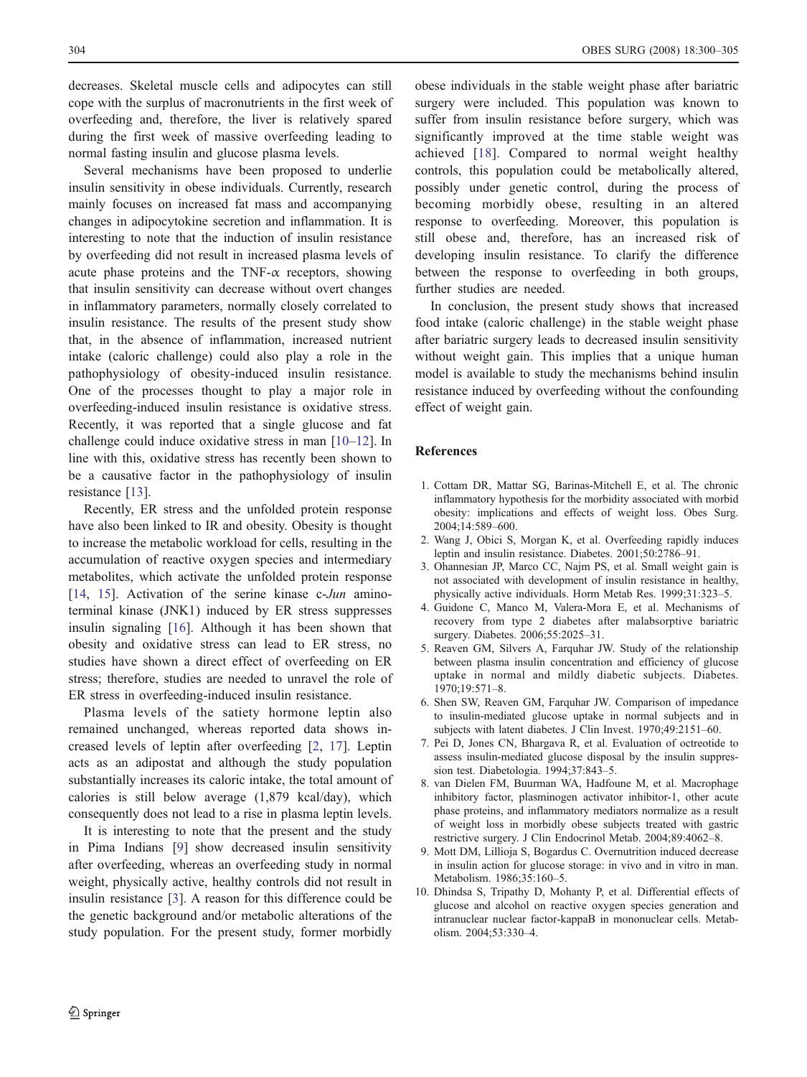<span id="page-5-0"></span>decreases. Skeletal muscle cells and adipocytes can still cope with the surplus of macronutrients in the first week of overfeeding and, therefore, the liver is relatively spared during the first week of massive overfeeding leading to normal fasting insulin and glucose plasma levels.

Several mechanisms have been proposed to underlie insulin sensitivity in obese individuals. Currently, research mainly focuses on increased fat mass and accompanying changes in adipocytokine secretion and inflammation. It is interesting to note that the induction of insulin resistance by overfeeding did not result in increased plasma levels of acute phase proteins and the TNF- $\alpha$  receptors, showing that insulin sensitivity can decrease without overt changes in inflammatory parameters, normally closely correlated to insulin resistance. The results of the present study show that, in the absence of inflammation, increased nutrient intake (caloric challenge) could also play a role in the pathophysiology of obesity-induced insulin resistance. One of the processes thought to play a major role in overfeeding-induced insulin resistance is oxidative stress. Recently, it was reported that a single glucose and fat challenge could induce oxidative stress in man [10–[12\]](#page-6-0). In line with this, oxidative stress has recently been shown to be a causative factor in the pathophysiology of insulin resistance [[13\]](#page-6-0).

Recently, ER stress and the unfolded protein response have also been linked to IR and obesity. Obesity is thought to increase the metabolic workload for cells, resulting in the accumulation of reactive oxygen species and intermediary metabolites, which activate the unfolded protein response [[14,](#page-6-0) [15\]](#page-6-0). Activation of the serine kinase c-Jun aminoterminal kinase (JNK1) induced by ER stress suppresses insulin signaling [[16\]](#page-6-0). Although it has been shown that obesity and oxidative stress can lead to ER stress, no studies have shown a direct effect of overfeeding on ER stress; therefore, studies are needed to unravel the role of ER stress in overfeeding-induced insulin resistance.

Plasma levels of the satiety hormone leptin also remained unchanged, whereas reported data shows increased levels of leptin after overfeeding [2, [17](#page-6-0)]. Leptin acts as an adipostat and although the study population substantially increases its caloric intake, the total amount of calories is still below average (1,879 kcal/day), which consequently does not lead to a rise in plasma leptin levels.

It is interesting to note that the present and the study in Pima Indians [9] show decreased insulin sensitivity after overfeeding, whereas an overfeeding study in normal weight, physically active, healthy controls did not result in insulin resistance [3]. A reason for this difference could be the genetic background and/or metabolic alterations of the study population. For the present study, former morbidly obese individuals in the stable weight phase after bariatric surgery were included. This population was known to suffer from insulin resistance before surgery, which was significantly improved at the time stable weight was achieved [[18](#page-6-0)]. Compared to normal weight healthy controls, this population could be metabolically altered, possibly under genetic control, during the process of becoming morbidly obese, resulting in an altered response to overfeeding. Moreover, this population is still obese and, therefore, has an increased risk of developing insulin resistance. To clarify the difference between the response to overfeeding in both groups, further studies are needed.

In conclusion, the present study shows that increased food intake (caloric challenge) in the stable weight phase after bariatric surgery leads to decreased insulin sensitivity without weight gain. This implies that a unique human model is available to study the mechanisms behind insulin resistance induced by overfeeding without the confounding effect of weight gain.

#### References

- 1. Cottam DR, Mattar SG, Barinas-Mitchell E, et al. The chronic inflammatory hypothesis for the morbidity associated with morbid obesity: implications and effects of weight loss. Obes Surg. 2004;14:589–600.
- 2. Wang J, Obici S, Morgan K, et al. Overfeeding rapidly induces leptin and insulin resistance. Diabetes. 2001;50:2786–91.
- 3. Ohannesian JP, Marco CC, Najm PS, et al. Small weight gain is not associated with development of insulin resistance in healthy, physically active individuals. Horm Metab Res. 1999;31:323–5.
- 4. Guidone C, Manco M, Valera-Mora E, et al. Mechanisms of recovery from type 2 diabetes after malabsorptive bariatric surgery. Diabetes. 2006;55:2025–31.
- 5. Reaven GM, Silvers A, Farquhar JW. Study of the relationship between plasma insulin concentration and efficiency of glucose uptake in normal and mildly diabetic subjects. Diabetes. 1970;19:571–8.
- 6. Shen SW, Reaven GM, Farquhar JW. Comparison of impedance to insulin-mediated glucose uptake in normal subjects and in subjects with latent diabetes. J Clin Invest. 1970;49:2151–60.
- 7. Pei D, Jones CN, Bhargava R, et al. Evaluation of octreotide to assess insulin-mediated glucose disposal by the insulin suppression test. Diabetologia. 1994;37:843–5.
- 8. van Dielen FM, Buurman WA, Hadfoune M, et al. Macrophage inhibitory factor, plasminogen activator inhibitor-1, other acute phase proteins, and inflammatory mediators normalize as a result of weight loss in morbidly obese subjects treated with gastric restrictive surgery. J Clin Endocrinol Metab. 2004;89:4062–8.
- 9. Mott DM, Lillioja S, Bogardus C. Overnutrition induced decrease in insulin action for glucose storage: in vivo and in vitro in man. Metabolism. 1986;35:160–5.
- 10. Dhindsa S, Tripathy D, Mohanty P, et al. Differential effects of glucose and alcohol on reactive oxygen species generation and intranuclear nuclear factor-kappaB in mononuclear cells. Metabolism. 2004;53:330–4.